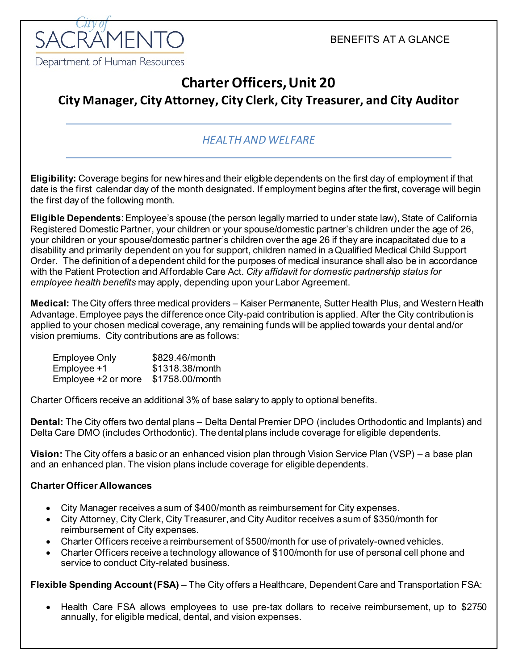BENEFITS AT A GLANCE



# **Charter Officers, Unit 20**

**City Manager, City Attorney, City Clerk, City Treasurer, and City Auditor**

## *HEALTH AND WELFARE*

**Eligibility:** Coverage begins for newhires and their eligible dependents on the first day of employment if that date is the first calendar day of the month designated. If employment begins after the first, coverage will begin the first day of the following month.

**Eligible Dependents**: Employee's spouse (the person legally married to under state law), State of California Registered Domestic Partner, your children or your spouse/domestic partner's children under the age of 26, your children or your spouse/domestic partner's children over the age 26 if they are incapacitated due to a disability and primarily dependent on you for support, children named in a Qualified Medical Child Support Order. The definition of a dependent child for the purposes of medical insurance shall also be in accordance with the Patient Protection and Affordable Care Act. *City affidavit for domestic partnership status for employee health benefits* may apply, depending upon your Labor Agreement.

**Medical:** The City offers three medical providers – Kaiser Permanente, Sutter Health Plus, and Western Health Advantage. Employee pays the difference once City-paid contribution is applied. After the City contribution is applied to your chosen medical coverage, any remaining funds will be applied towards your dental and/or vision premiums. City contributions are as follows:

| <b>Employee Only</b> | \$829.46/month  |
|----------------------|-----------------|
| Employee +1          | \$1318.38/month |
| Employee +2 or more  | \$1758.00/month |

Charter Officers receive an additional 3% of base salary to apply to optional benefits.

**Dental:** The City offers two dental plans – Delta Dental Premier DPO (includes Orthodontic and Implants) and Delta Care DMO (includes Orthodontic). The dental plans include coverage for eligible dependents.

**Vision:** The City offers a basic or an enhanced vision plan through Vision Service Plan (VSP) – a base plan and an enhanced plan. The vision plans include coverage for eligible dependents.

#### **Charter Officer Allowances**

- City Manager receives a sum of \$400/month as reimbursement for City expenses.
- City Attorney, City Clerk, City Treasurer, and City Auditor receives a sum of \$350/month for reimbursement of City expenses.
- Charter Officers receive a reimbursement of \$500/month for use of privately-owned vehicles.
- Charter Officers receive a technology allowance of \$100/month for use of personal cell phone and service to conduct City-related business.

**Flexible Spending Account (FSA)** – The City offers a Healthcare, Dependent Care and Transportation FSA:

• Health Care FSA allows employees to use pre-tax dollars to receive reimbursement, up to \$2750 annually, for eligible medical, dental, and vision expenses.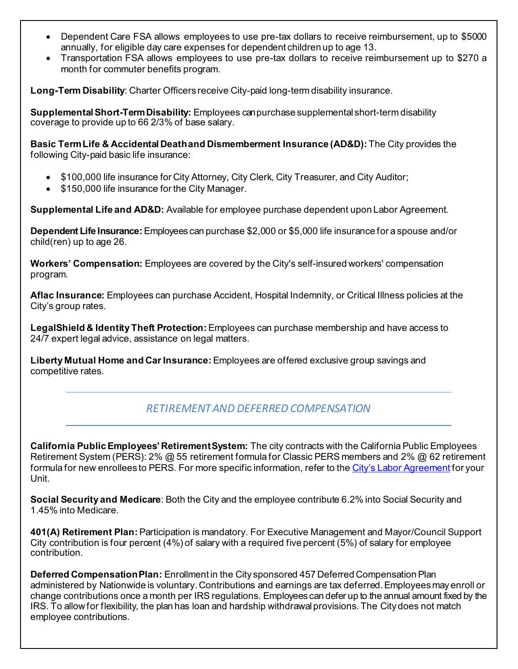- Dependent Care FSA allows employees to use pre-tax dollars to receive reimbursement, up to \$5000 annually, for eligible day care expenses for dependent children up to age 13.
- Transportation FSA allows employees to use pre-tax dollars to receive reimbursement up to \$270 a month for commuter benefits program.

**Long-Term Disability**: Charter Officers receive City-paid long-term disability insurance.

**SupplementalShort-TermDisability:** Employees can purchase supplemental short-term disability coverage to provide up to 66 2/3% of base salary.

**Basic TermLife & Accidental Deathand Dismemberment Insurance (AD&D):** The City provides the following City-paid basic life insurance:

- $$100,000$  life insurance for City Attorney, City Clerk, City Treasurer, and City Auditor;
- \$150,000 life insurance for the City Manager.

**Supplemental Life and AD&D:** Available for employee purchase dependent upon Labor Agreement.

**Dependent Life Insurance:** Employees can purchase \$2,000 or \$5,000 life insurance for a spouse and/or child(ren) up to age 26.

**Workers' Compensation:** Employees are covered by the City's self-insured workers' compensation program.

**Aflac Insurance:** Employees can purchase Accident, Hospital Indemnity, or Critical Illness policies at the City's group rates.

**LegalShield & Identity Theft Protection:** Employees can purchase membership and have access to 24/7 expert legal advice, assistance on legal matters.

**Liberty Mutual Home and Car Insurance:** Employees are offered exclusive group savings and competitive rates.

### *RETIREMENT AND DEFERRED COMPENSATION*

**California PublicEmployees' RetirementSystem:** The city contracts with the California Public Employees Retirement System (PERS): 2% @ 55 retirement formula for Classic PERS members and 2% @ 62 retirement formula for new enrollees to PERS. For more specific information, refer to th[e City's Labor Agreement](http://www.cityofsacramento.org/HR/Divisions/Labor-Relations/Labor-Agreements) for your Unit.

**Social Security and Medicare**: Both the City and the employee contribute 6.2% into Social Security and 1.45% into Medicare.

**401(A) Retirement Plan:** Participation is mandatory. For Executive Management and Mayor/Council Support City contribution is four percent (4%) of salary with a required five percent (5%) of salary for employee contribution.

**Deferred Compensation Plan: Enrollment in the City sponsored 457 Deferred Compensation Plan** administered by Nationwide is voluntary. Contributions and earnings are tax deferred. Employees may enroll or change contributions once a month per IRS regulations. Employees can defer up to the annual amount fixed by the IRS. To allowfor flexibility, the plan has loan and hardship withdrawalprovisions.The City does not match employee contributions.